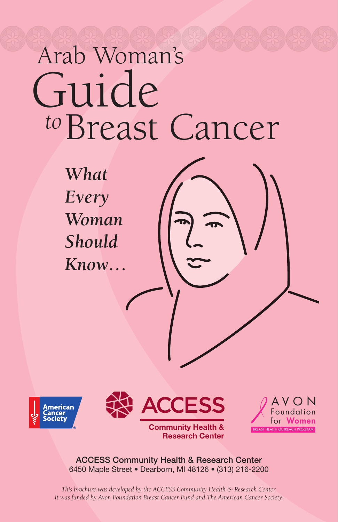# Breast Cancer *to*  Guide 074 074 074 074 074 074 074 074 074 074 074 074 074 Arab Woman's

*What Every Woman Should Know…*









ACCESS Community Health & Research Center 6450 Maple Street • Dearborn, MI 48126 • (313) 216-2200

*This brochure was developed by the ACCESS Community Health & Research Center. It was funded by Avon Foundation Breast Cancer Fund and The American Cancer Society.*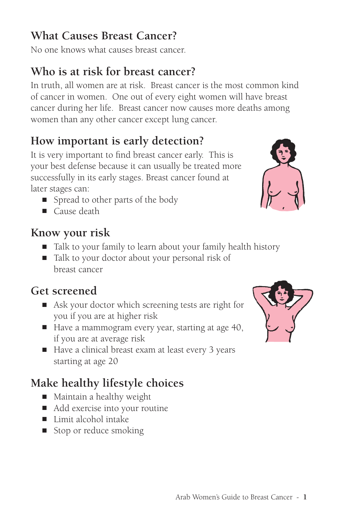## **What Causes Breast Cancer?**

No one knows what causes breast cancer.

## **Who is at risk for breast cancer?**

In truth, all women are at risk. Breast cancer is the most common kind of cancer in women. One out of every eight women will have breast cancer during her life. Breast cancer now causes more deaths among women than any other cancer except lung cancer.

# **How important is early detection?**

It is very important to find breast cancer early. This is your best defense because it can usually be treated more successfully in its early stages. Breast cancer found at later stages can:

- Spread to other parts of the body
- Cause death

## **Know your risk**

- Talk to your family to learn about your family health history
- Talk to your doctor about your personal risk of breast cancer

# **Get screened**

- Ask your doctor which screening tests are right for you if you are at higher risk
- Have a mammogram every year, starting at age 40, if you are at average risk
- Have a clinical breast exam at least every 3 years starting at age 20

# **Make healthy lifestyle choices**

- Maintain a healthy weight
- Add exercise into your routine
- Limit alcohol intake
- Stop or reduce smoking



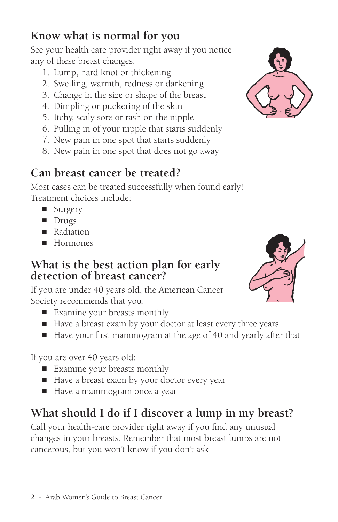#### **2** - Arab Women's Guide to Breast Cancer

## **Know what is normal for you**

See your health care provider right away if you notice any of these breast changes:

- 1. Lump, hard knot or thickening
- 2. Swelling, warmth, redness or darkening
- 3. Change in the size or shape of the breast
- 4. Dimpling or puckering of the skin
- 5. Itchy, scaly sore or rash on the nipple
- 6. Pulling in of your nipple that starts suddenly
- 7. New pain in one spot that starts suddenly
- 8. New pain in one spot that does not go away

## **Can breast cancer be treated?**

Most cases can be treated successfully when found early! Treatment choices include:

- Surgery
- Drugs
- Radiation
- Hormones

#### **What is the best action plan for early detection of breast cancer?**

If you are under 40 years old, the American Cancer Society recommends that you:

- Examine your breasts monthly
- Have a breast exam by your doctor at least every three years
- Have your first mammogram at the age of 40 and yearly after that

If you are over 40 years old:

- Examine your breasts monthly
- Have a breast exam by your doctor every year
- Have a mammogram once a year

# **What should I do if I discover a lump in my breast?**

Call your health-care provider right away if you find any unusual changes in your breasts. Remember that most breast lumps are not cancerous, but you won't know if you don't ask.



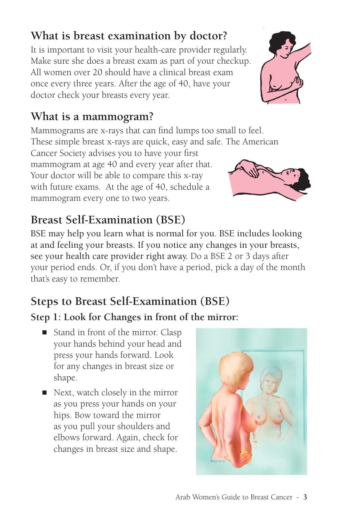# **What is breast examination by doctor?**

It is important to visit your health-care provider regularly. Make sure she does a breast exam as part of your checkup. All women over 20 should have a clinical breast exam once every three years. After the age of 40, have your doctor check your breasts every year.

# **What is a mammogram?**

Mammograms are x-rays that can find lumps too small to feel. These simple breast x-rays are quick, easy and safe. The American

Cancer Society advises you to have your first mammogram at age 40 and every year after that. Your doctor will be able to compare this x-ray with future exams. At the age of 40, schedule a mammogram every one to two years.

# **Breast Self-Examination (BSE)**

BSE may help you learn what is normal for you. BSE includes looking at and feeling your breasts. If you notice any changes in your breasts, see your health care provider right away. Do a BSE 2 or 3 days after your period ends. Or, if you don't have a period, pick a day of the month that's easy to remember.

# **Steps to Breast Self-Examination (BSE)**

## **Step 1: Look for Changes in front of the mirror:**

- Stand in front of the mirror. Clasp your hands behind your head and press your hands forward. Look for any changes in breast size or shape.
- Next, watch closely in the mirror as you press your hands on your hips. Bow toward the mirror as you pull your shoulders and elbows forward. Again, check for changes in breast size and shape.





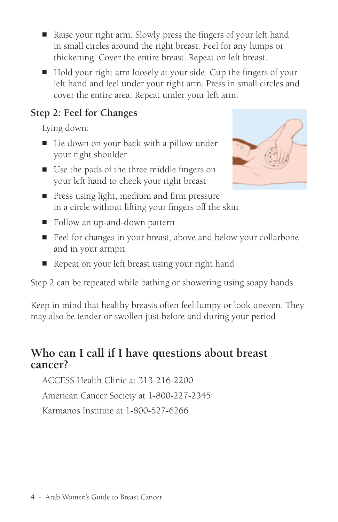- Raise your right arm. Slowly press the fingers of your left hand in small circles around the right breast. Feel for any lumps or thickening. Cover the entire breast. Repeat on left breast.
- Hold your right arm loosely at your side. Cup the fingers of your left hand and feel under your right arm. Press in small circles and cover the entire area. Repeat under your left arm.

### **Step 2: Feel for Changes**

Lying down:

- Lie down on your back with a pillow under your right shoulder
- Use the pads of the three middle fingers on your left hand to check your right breast
- Press using light, medium and firm pressure in a circle without lifting your fingers off the skin
- Follow an up-and-down pattern
- Feel for changes in your breast, above and below your collarbone and in your armpit
- Repeat on your left breast using your right hand

Step 2 can be repeated while bathing or showering using soapy hands.

Keep in mind that healthy breasts often feel lumpy or look uneven. They may also be tender or swollen just before and during your period.

## **Who can I call if I have questions about breast cancer?**

ACCESS Health Clinic at 313-216-2200

American Cancer Society at 1-800-227-2345

Karmanos Institute at 1-800-527-6266

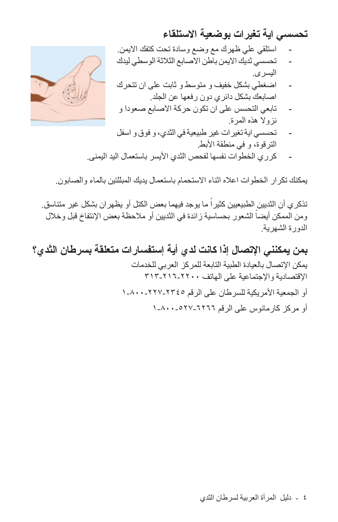**تحسسي اية تغيرات بوضعية الاستلقاء**

$$
\frac{1}{2}
$$

- استلقي علي ظهرك مع وضع وسادة تحت كتفك الايمن. - تحسسي ثديك الايمن باطن الاصابع الثلاثة الوسطي ليدك اليسرى.

- اضغطي بشكل خفيف و متوسط و ثابت على ان تتحرك اصابعك بشكل دائري دون رفعها عن الجلد.
- تابعي التحسس على ان تكون حركة الاصابع صعودا و نزولا هذه المرة.
- تحسسي اية تغيرات غير طبيعية في الثدي، و فوق و اسفل الترقوة، و في منطقة الأبط.
- كرري الخطوات نفسها لفحص الثدي الأيسر باستعمال اليد اليمنى.

يمكنك تكرار الخطوات اعلاه اثناء الاستحمام باستعمال يديك المبللتين بالماء والصابون.

تذكر ي أن الثديين الطبيعيين كثير اً ما يوجد فيهما بعض الكتل أو يظهر ان بشكل غير متناسق. ومن الممكن أيضـاً الشعور بحساسية زائدة في الثديين أو ملاحظة بعض الإنتفاخ قبل وخلال الدورة الشهرية.

**بمن يمكنني الإتصال إذا كانت لدي أية إستفسارات متعلقة بسرطان الثدي؟** يمكن الإتصال بالعيادة الطبية التابعة للمركز العربي للخدمات الإقتصادية والإجتماعية على الهاتف ٣١٣-٢١٦-٢٢٠٠ أو الجمعية الأمريكية للسرطان على الرقم ١-٨٠٠-٢٢٧-٢٣٤٥ أو مركز كارمانوس على الرقم ١-٨٠٠-٥٢٧-٦٢٦٦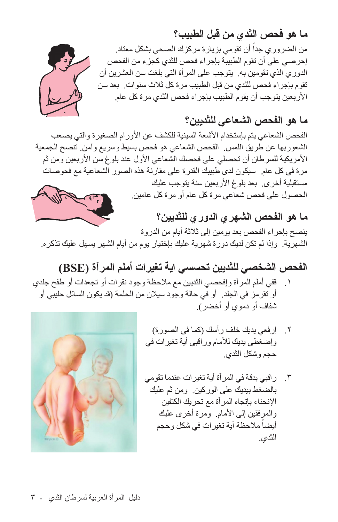من الضروري جداً أن تقومي بزيارة مركزك الصحي بشكل معتاد. إحرصي على أن تقوم الطبيبة بإجراء فحص للثدي كجزء من الفحص الدوري الذي تقومين به. يتوجب على المرأة التي بلغت سن العشرين أن تقوم بإجراء فحص للثدي من قبل الطبيب مرة كل ثلاث سنوات. بعد سن الأربعين يتوجب أن يقوم الطبيب بإجراء فحص الثدي مرة كل عام.

**ما هو الفحص الشعاعي للثديين؟**

الفحص الشعاعي يتم بإستخدام الأشعة السينية للكشف عن الأورام الصغيرة والتي يصعب الشعوربها عن طريق اللمس. الفحص الشعاعي هو فحص بسيط وسريع وآمن. تنصح الجمعية الأمريكية للسرطان أن تحصلي على فحصك الشعاعي الأول عند بلوغ سن الأربعين ومن ثم مرة في كل عام. سيكون لدى طبيبك القدرة على مقارنة هذه الصور الشعاعية مع فحوصات مستقبلية أخرى. بعد بلوغ الأربعين سنة يتوجب عليك الحصول على فحص شعاعي مرة كل عام أو مرة كل عامين.

**ما هو الفحص الشهري الدوري للثديين؟** ينصح بإجراء الفحص بعد يومين إلى ثلاثة أيام من الدروة الشهرية. وإذا لم تكن لديك دورة شهرية عليك بإختيار يوم من أيام الشهر يسهل عليك تذكره.

- **الفحص الشخصي للثديين تحسسي اية تغيرات أملم المرآة (BSE (** .١ قفي أملم المرآة وإفحصي الثديين مع ملاحظة وجود نقرات أو تجعدات أو طفح جلدي أو تقرمز في الجلد. أو في حالة وجود سيلان من الحلمة (قد يكون السائل حليبي أو شفاف أو دموي أو أخضر).
	- .٢ إرفعي يديك خلف رأسك (كما في الصورة) وإضغطي يديك للأمام وراقبي أية تغيرات في حجم وشكل الثدي.
	- .٣ راقبي بدقة في المرآة أية تغيرات عندما تقومي بالضغط بيديك على الوركين. ومن ثم عليك الإنحناء بإتجاه المرآة مع تحريك الكتفين والمرفقين إلى الأمام. ومرة أخرى عليك أيضاً ملاحظة أية تغيرات في شكل وحجم الثدي.





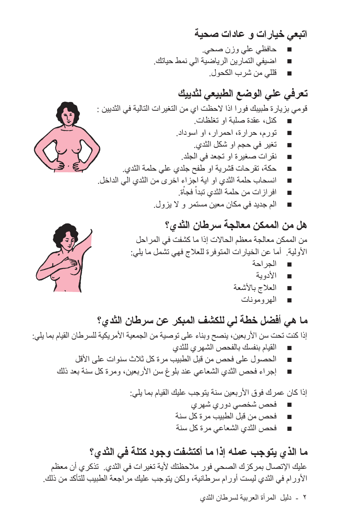**اتبعي خيارات و عادات صحية** ■ حافظي علي وزن صحي. اضيفي التمارين الرياضية الي نمط حياتك. ■ قللي من شرب الكحول.

**تعرفي علي الوضع الطبيعي لثدييك** قومي بزيارة طبيبك فورا اذا لاحظت اي من التغيرات التالية في الثديين : كنل، عقدة صلبة او تغلظات ■ تورم، حرارة، احمرار، او اسوداد. ■ تغير في حجم او شكل الثدي. ■ نقرات صغيرة او تجعد في الجلد. ■ حكة، تقرحات قشرية او طفح جلدي علي حلمة الثدي. ■ انسحاب حلمة الثدي او اية اجزاء اخرى من الثدي الي الداخل. ■ افرازات من حلمة الثدي تبداْ فجاْة. ْ

■ الم جديد في مكان معين مستمر و لا يزول.

## **هل من الممكن معالجة سرطان الثدي؟**

من الممكن معالجة معظم الحالات إذا ما كشفت في المراحل الأولية. أما عن الخيارات المتوفرة للعلاج فهي تشمل ما يلي:

- الجراحة
- الأدوية
- العلاج بالأشعة
	- الهرومونات

**ما هي أفضل خطة لي للكشف المبكر عن سرطان الثدي؟** إذا كنت تحت سن الأربعين، ينصح وبناء على توصية من الجمعية الأمريكية للسرطان القيام بما يلي: ■ القيام بنفسك بالفحص الشهري للثدي ■ الحصول على فحص من قبل الطبيب مرة كل ثلاث سنوات على الأقل ■ إجراء فحص الثدي الشعاعي عند بلوغ سن الأربعين، ومرة كل سنة بعد ذلك

> إذا كان عمرك فوق الأربعين سنة يتوجب عليك القيام بما يلي: ■ فحص شخصي دوري شهري ■ فحص من قبل الطبيب مرة كل سنة ■ فحص الثدي الشعاعي مرة كل سنة

**ما الذي يتوجب عمله إذا ما أكتشفت وجود كتلة في الثدي؟** عليك الإتصال بمركزك الصحي فور ملاحظتك لأية تغيرات في الثدي. تذكري أن معظم الأورام في الثدي ليست أورام سرطانية، ولكن يتوجب عليك مراجعة الطبيب للتأكد من ذلك.

٢ - دليل المرأة العربية لسرطان الثدي



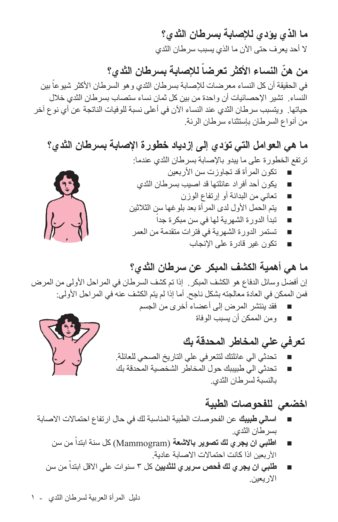**ما الذي يؤدي للإصابة بسرطان الثدي؟** لا أحد يعرف حتى الآن ما الذي يسبب سرطان الثدي

**ً للإصابة بسرطان الثدي؟ ّ من هن النساء الأكثر تعرضا** في الحقيقة أن كل النساء معرضات للإصابة بسرطان الثدي وهو السرطان الأكثر شيوعاً بين النساء. تشير الإحصائيات أن واحدة من بين كل ثمان نساء ستصاب بسرطان الثدي خلال حياتها. ويتسبب سرطان الثدي عند النساء الآن في أعلى نسبة للوفيات الناتجة عن أي نوع آخر من أنواع السرطان بإستثناء سرطان الرئة.

**ما هي العوامل التي تؤدي إلى إزدياد خطورة الإصابة بسرطان الثدي؟** ترتفع الخطورة على ما يبدو بالإصابة بسرطان الثدي عندما:

- تكون المرأة قد تجاوزت سن الأربعين ■ يكون أحد أفراد عائلتها قد اصيب بسرطان الثدي
	- تعاني من البدانة أو إرتفاع الوزن
- يتم الحمل الأول لدى المرأة بعد بلوغها سن الثلاثين
	- تبدأ الدورة الشهرية لها في سن مبكرة جداً
- تستمر الدورة الشهرية في فترات متقدمة من العمر
	- تكون غير قادرة على الإنجاب

**ما هي أهمية الكشف المبكر عن سرطان الثدي؟**

إن أفضل وسائل الدفاع هو الكشف المبكر. إذا تم كشف السرطان في المراحل الأولى من المرض فمن الممكن في العادة معالجته بشكل ناجح. أما إذا لم يتم الكشف عنه في المراحل الأولى:

- فقد ينتشر المرض إلى أعضاء أخرى من الجسم ■ ومن الممكن أن يسبب الوفاة
	- **تعرفي علي المخاطر المحدقة بك**
- تحدثي الي عائلتك لتتعرفي على التاريخ الصحي للعائلة.
- تحدثي الي طبيببك حول المخاطر الشخصية المحدقة بك بالنسبة لسرطان الثدي.

**اخضعي للفحوصات الطبية**

- **اسالي طبيبك** عن الفحوصات الطبية المناسبة لك في حال ارتفاع احتمالات الاصابة بسرطان الثدي.
	- ْ من سن ■ **اطلبي ان يجري لك تصوير بالاشعة** (Mammogram (كل سنة ابتدا الأربعين اذا كانت احتمالات الاصابة عادية.
	- ْ■ **طلبي ان يجر ي لك فحص سرير ي للثديين** كل ٣ سنوات علي الاقل ابتدا من سن الاريعين.